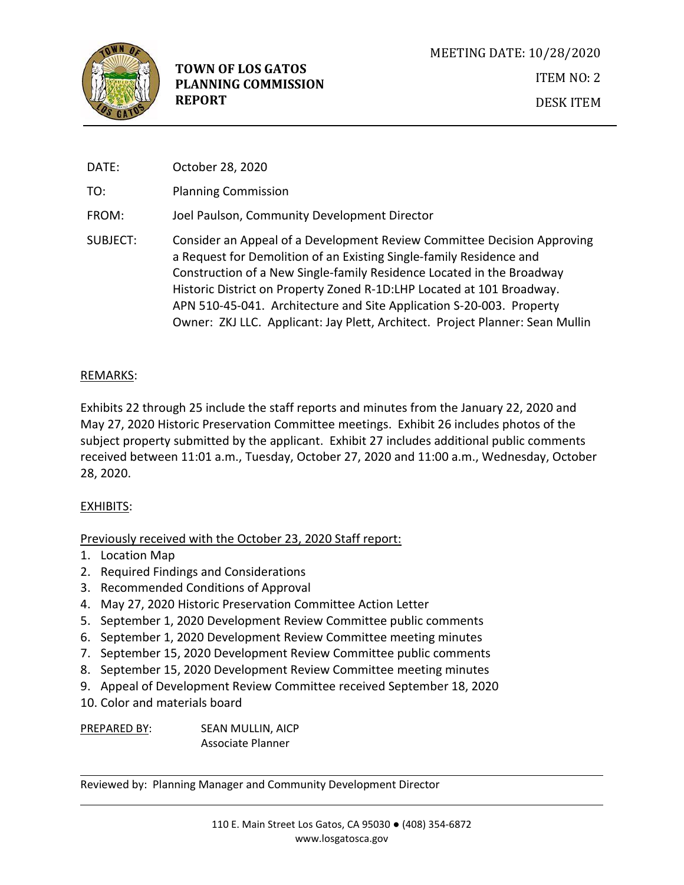

| DATE:    | October 28, 2020                                                                                                                                                                                                                                                                                                                                                                                                                                          |
|----------|-----------------------------------------------------------------------------------------------------------------------------------------------------------------------------------------------------------------------------------------------------------------------------------------------------------------------------------------------------------------------------------------------------------------------------------------------------------|
| TO:      | <b>Planning Commission</b>                                                                                                                                                                                                                                                                                                                                                                                                                                |
| FROM:    | Joel Paulson, Community Development Director                                                                                                                                                                                                                                                                                                                                                                                                              |
| SUBJECT: | Consider an Appeal of a Development Review Committee Decision Approving<br>a Request for Demolition of an Existing Single-family Residence and<br>Construction of a New Single-family Residence Located in the Broadway<br>Historic District on Property Zoned R-1D:LHP Located at 101 Broadway.<br>APN 510-45-041. Architecture and Site Application S-20-003. Property<br>Owner: ZKJ LLC. Applicant: Jay Plett, Architect. Project Planner: Sean Mullin |

## REMARKS:

Exhibits 22 through 25 include the staff reports and minutes from the January 22, 2020 and May 27, 2020 Historic Preservation Committee meetings. Exhibit 26 includes photos of the subject property submitted by the applicant. Exhibit 27 includes additional public comments received between 11:01 a.m., Tuesday, October 27, 2020 and 11:00 a.m., Wednesday, October 28, 2020.

## EXHIBITS:

Previously received with the October 23, 2020 Staff report:

- 1. Location Map
- 2. Required Findings and Considerations
- 3. Recommended Conditions of Approval
- 4. May 27, 2020 Historic Preservation Committee Action Letter
- 5. September 1, 2020 Development Review Committee public comments
- 6. September 1, 2020 Development Review Committee meeting minutes
- 7. September 15, 2020 Development Review Committee public comments
- 8. September 15, 2020 Development Review Committee meeting minutes
- 9. Appeal of Development Review Committee received September 18, 2020
- 10. Color and materials board

PREPARED BY: SEAN MULLIN, AICP Associate Planner

Reviewed by: Planning Manager and Community Development Director